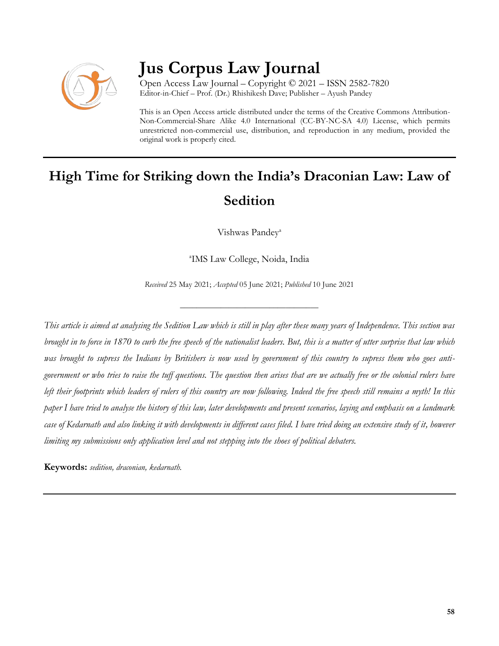

## **Jus Corpus Law Journal**

Open Access Law Journal – Copyright © 2021 – ISSN 2582-7820 Editor-in-Chief – Prof. (Dr.) Rhishikesh Dave; Publisher – Ayush Pandey

This is an Open Access article distributed under the terms of the Creative Commons Attribution-Non-Commercial-Share Alike 4.0 International (CC-BY-NC-SA 4.0) License, which permits unrestricted non-commercial use, distribution, and reproduction in any medium, provided the original work is properly cited.

# **High Time for Striking down the India's Draconian Law: Law of Sedition**

Vishwas Pandey<sup>a</sup>

a IMS Law College, Noida, India

*Received* 25 May 2021; *Accepted* 05 June 2021; *Published* 10 June 2021

\_\_\_\_\_\_\_\_\_\_\_\_\_\_\_\_\_\_\_\_\_\_\_\_\_\_\_\_\_\_\_\_\_\_

*This article is aimed at analysing the Sedition Law which is still in play after these many years of Independence. This section was brought in to force in 1870 to curb the free speech of the nationalist leaders. But, this is a matter of utter surprise that law which was brought to supress the Indians by Britishers is now used by government of this country to supress them who goes antigovernment or who tries to raise the tuff questions. The question then arises that are we actually free or the colonial rulers have left their footprints which leaders of rulers of this country are now following. Indeed the free speech still remains a myth! In this paper I have tried to analyse the history of this law, later developments and present scenarios, laying and emphasis on a landmark case of Kedarnath and also linking it with developments in different cases filed. I have tried doing an extensive study of it, however limiting my submissions only application level and not stepping into the shoes of political debaters.*

**Keywords:** *sedition, draconian, kedarnath.*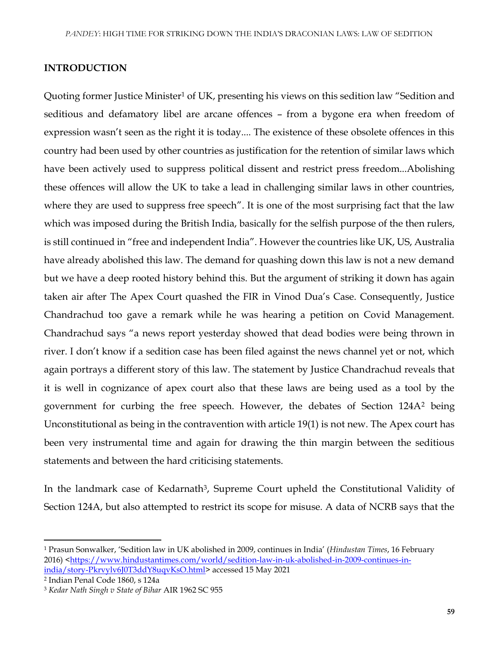### **INTRODUCTION**

Quoting former Justice Minister<sup>1</sup> of UK, presenting his views on this sedition law "Sedition and seditious and defamatory libel are arcane offences – from a bygone era when freedom of expression wasn't seen as the right it is today.... The existence of these obsolete offences in this country had been used by other countries as justification for the retention of similar laws which have been actively used to suppress political dissent and restrict press freedom...Abolishing these offences will allow the UK to take a lead in challenging similar laws in other countries, where they are used to suppress free speech". It is one of the most surprising fact that the law which was imposed during the British India, basically for the selfish purpose of the then rulers, is still continued in "free and independent India". However the countries like UK, US, Australia have already abolished this law. The demand for quashing down this law is not a new demand but we have a deep rooted history behind this. But the argument of striking it down has again taken air after The Apex Court quashed the FIR in Vinod Dua's Case. Consequently, Justice Chandrachud too gave a remark while he was hearing a petition on Covid Management. Chandrachud says "a news report yesterday showed that dead bodies were being thrown in river. I don't know if a sedition case has been filed against the news channel yet or not, which again portrays a different story of this law. The statement by Justice Chandrachud reveals that it is well in cognizance of apex court also that these laws are being used as a tool by the government for curbing the free speech. However, the debates of Section 124A<sup>2</sup> being Unconstitutional as being in the contravention with article 19(1) is not new. The Apex court has been very instrumental time and again for drawing the thin margin between the seditious statements and between the hard criticising statements.

In the landmark case of Kedarnath<sup>3</sup>, Supreme Court upheld the Constitutional Validity of Section 124A, but also attempted to restrict its scope for misuse. A data of NCRB says that the

 $\overline{\phantom{a}}$ 

<sup>1</sup> Prasun Sonwalker, 'Sedition law in UK abolished in 2009, continues in India' (*Hindustan Times*, 16 February 2016) [<https://www.hindustantimes.com/world/sedition-law-in-uk-abolished-in-2009-continues-in](https://www.hindustantimes.com/world/sedition-law-in-uk-abolished-in-2009-continues-in-india/story-Pkrvylv6J0T3ddY8uqvKsO.html)[india/story-Pkrvylv6J0T3ddY8uqvKsO.html>](https://www.hindustantimes.com/world/sedition-law-in-uk-abolished-in-2009-continues-in-india/story-Pkrvylv6J0T3ddY8uqvKsO.html) accessed 15 May 2021

<sup>2</sup> Indian Penal Code 1860, s 124a

<sup>3</sup> *Kedar Nath Singh v State of Bihar* AIR 1962 SC 955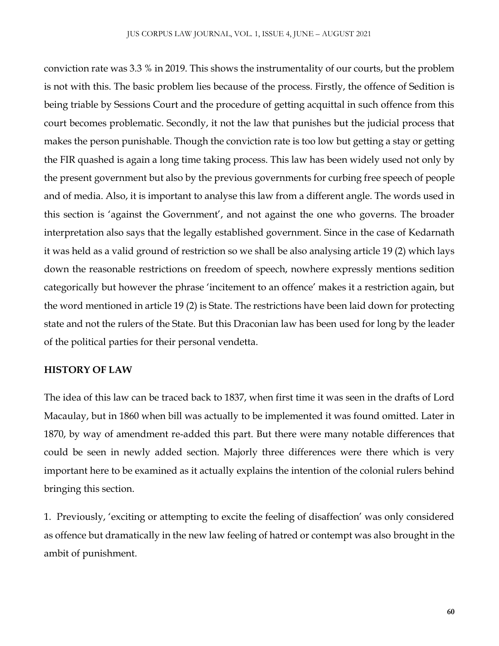conviction rate was 3.3 % in 2019. This shows the instrumentality of our courts, but the problem is not with this. The basic problem lies because of the process. Firstly, the offence of Sedition is being triable by Sessions Court and the procedure of getting acquittal in such offence from this court becomes problematic. Secondly, it not the law that punishes but the judicial process that makes the person punishable. Though the conviction rate is too low but getting a stay or getting the FIR quashed is again a long time taking process. This law has been widely used not only by the present government but also by the previous governments for curbing free speech of people and of media. Also, it is important to analyse this law from a different angle. The words used in this section is 'against the Government', and not against the one who governs. The broader interpretation also says that the legally established government. Since in the case of Kedarnath it was held as a valid ground of restriction so we shall be also analysing article 19 (2) which lays down the reasonable restrictions on freedom of speech, nowhere expressly mentions sedition categorically but however the phrase 'incitement to an offence' makes it a restriction again, but the word mentioned in article 19 (2) is State. The restrictions have been laid down for protecting state and not the rulers of the State. But this Draconian law has been used for long by the leader of the political parties for their personal vendetta.

### **HISTORY OF LAW**

The idea of this law can be traced back to 1837, when first time it was seen in the drafts of Lord Macaulay, but in 1860 when bill was actually to be implemented it was found omitted. Later in 1870, by way of amendment re-added this part. But there were many notable differences that could be seen in newly added section. Majorly three differences were there which is very important here to be examined as it actually explains the intention of the colonial rulers behind bringing this section.

1. Previously, 'exciting or attempting to excite the feeling of disaffection' was only considered as offence but dramatically in the new law feeling of hatred or contempt was also brought in the ambit of punishment.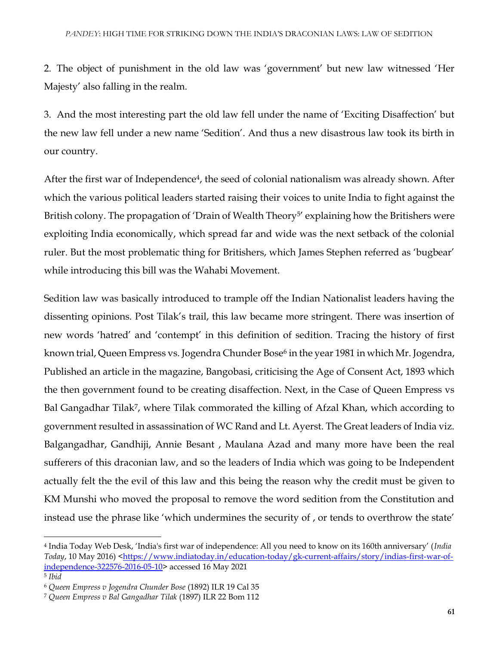2. The object of punishment in the old law was 'government' but new law witnessed 'Her Majesty' also falling in the realm.

3. And the most interesting part the old law fell under the name of 'Exciting Disaffection' but the new law fell under a new name 'Sedition'. And thus a new disastrous law took its birth in our country.

After the first war of Independence<sup>4</sup>, the seed of colonial nationalism was already shown. After which the various political leaders started raising their voices to unite India to fight against the British colony. The propagation of 'Drain of Wealth Theory<sup>5'</sup> explaining how the Britishers were exploiting India economically, which spread far and wide was the next setback of the colonial ruler. But the most problematic thing for Britishers, which James Stephen referred as 'bugbear' while introducing this bill was the Wahabi Movement.

Sedition law was basically introduced to trample off the Indian Nationalist leaders having the dissenting opinions. Post Tilak's trail, this law became more stringent. There was insertion of new words 'hatred' and 'contempt' in this definition of sedition. Tracing the history of first known trial, Queen Empress vs. Jogendra Chunder Bose<sup>6</sup> in the year 1981 in which Mr. Jogendra, Published an article in the magazine, Bangobasi, criticising the Age of Consent Act, 1893 which the then government found to be creating disaffection. Next, in the Case of Queen Empress vs Bal Gangadhar Tilak<sup>7</sup>, where Tilak commorated the killing of Afzal Khan, which according to government resulted in assassination of WC Rand and Lt. Ayerst. The Great leaders of India viz. Balgangadhar, Gandhiji, Annie Besant , Maulana Azad and many more have been the real sufferers of this draconian law, and so the leaders of India which was going to be Independent actually felt the the evil of this law and this being the reason why the credit must be given to KM Munshi who moved the proposal to remove the word sedition from the Constitution and instead use the phrase like 'which undermines the security of , or tends to overthrow the state'

 $\overline{\phantom{a}}$ 

<sup>4</sup> India Today Web Desk, 'India's first war of independence: All you need to know on its 160th anniversary' (*India Today*, 10 May 2016) [<https://www.indiatoday.in/education-today/gk-current-affairs/story/indias-first-war-of](https://www.indiatoday.in/education-today/gk-current-affairs/story/indias-first-war-of-independence-322576-2016-05-10)[independence-322576-2016-05-10>](https://www.indiatoday.in/education-today/gk-current-affairs/story/indias-first-war-of-independence-322576-2016-05-10) accessed 16 May 2021 5 *Ibid*

<sup>6</sup> *Queen Empress v Jogendra Chunder Bose* (1892) ILR 19 Cal 35

<sup>7</sup> *Queen Empress v Bal Gangadhar Tilak* (1897) ILR 22 Bom 112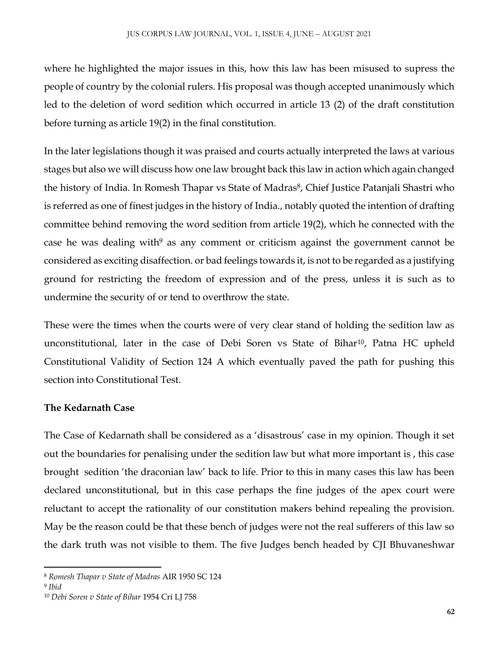where he highlighted the major issues in this, how this law has been misused to supress the people of country by the colonial rulers. His proposal was though accepted unanimously which led to the deletion of word sedition which occurred in article 13 (2) of the draft constitution before turning as article 19(2) in the final constitution.

In the later legislations though it was praised and courts actually interpreted the laws at various stages but also we will discuss how one law brought back this law in action which again changed the history of India. In Romesh Thapar vs State of Madras<sup>8</sup>, Chief Justice Patanjali Shastri who is referred as one of finest judges in the history of India., notably quoted the intention of drafting committee behind removing the word sedition from article 19(2), which he connected with the case he was dealing with $9$  as any comment or criticism against the government cannot be considered as exciting disaffection. or bad feelings towards it, is not to be regarded as a justifying ground for restricting the freedom of expression and of the press, unless it is such as to undermine the security of or tend to overthrow the state.

These were the times when the courts were of very clear stand of holding the sedition law as unconstitutional, later in the case of Debi Soren vs State of Bihar<sup>10</sup>, Patna HC upheld Constitutional Validity of Section 124 A which eventually paved the path for pushing this section into Constitutional Test.

## **The Kedarnath Case**

The Case of Kedarnath shall be considered as a 'disastrous' case in my opinion. Though it set out the boundaries for penalising under the sedition law but what more important is , this case brought sedition 'the draconian law' back to life. Prior to this in many cases this law has been declared unconstitutional, but in this case perhaps the fine judges of the apex court were reluctant to accept the rationality of our constitution makers behind repealing the provision. May be the reason could be that these bench of judges were not the real sufferers of this law so the dark truth was not visible to them. The five Judges bench headed by CJI Bhuvaneshwar

 $\overline{a}$ 

<sup>8</sup> *Romesh Thapar v State of Madras* AIR 1950 SC 124

<sup>9</sup> *Ibid* 

<sup>10</sup> *Debi Soren v State of Bihar* 1954 Cri LJ 758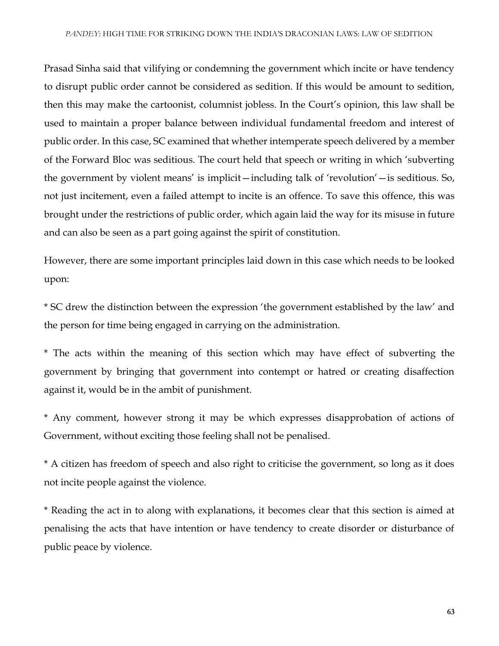Prasad Sinha said that vilifying or condemning the government which incite or have tendency to disrupt public order cannot be considered as sedition. If this would be amount to sedition, then this may make the cartoonist, columnist jobless. In the Court's opinion, this law shall be used to maintain a proper balance between individual fundamental freedom and interest of public order. In this case, SC examined that whether intemperate speech delivered by a member of the Forward Bloc was seditious. The court held that speech or writing in which 'subverting the government by violent means' is implicit—including talk of 'revolution'—is seditious. So, not just incitement, even a failed attempt to incite is an offence. To save this offence, this was brought under the restrictions of public order, which again laid the way for its misuse in future and can also be seen as a part going against the spirit of constitution.

However, there are some important principles laid down in this case which needs to be looked upon:

\* SC drew the distinction between the expression 'the government established by the law' and the person for time being engaged in carrying on the administration.

\* The acts within the meaning of this section which may have effect of subverting the government by bringing that government into contempt or hatred or creating disaffection against it, would be in the ambit of punishment.

\* Any comment, however strong it may be which expresses disapprobation of actions of Government, without exciting those feeling shall not be penalised.

\* A citizen has freedom of speech and also right to criticise the government, so long as it does not incite people against the violence.

\* Reading the act in to along with explanations, it becomes clear that this section is aimed at penalising the acts that have intention or have tendency to create disorder or disturbance of public peace by violence.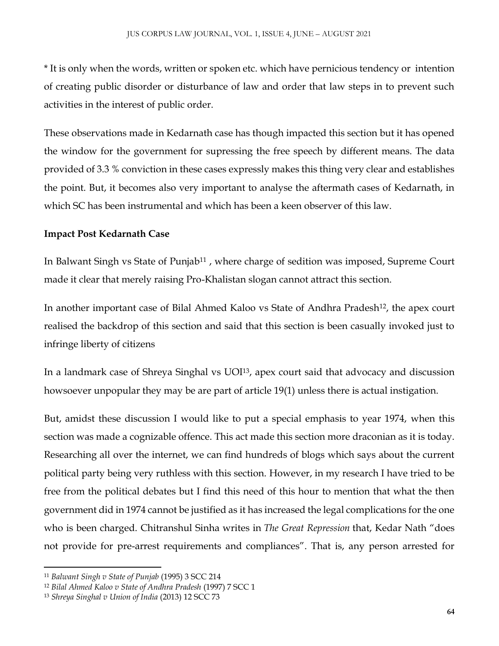\* It is only when the words, written or spoken etc. which have pernicious tendency or intention of creating public disorder or disturbance of law and order that law steps in to prevent such activities in the interest of public order.

These observations made in Kedarnath case has though impacted this section but it has opened the window for the government for supressing the free speech by different means. The data provided of 3.3 % conviction in these cases expressly makes this thing very clear and establishes the point. But, it becomes also very important to analyse the aftermath cases of Kedarnath, in which SC has been instrumental and which has been a keen observer of this law.

### **Impact Post Kedarnath Case**

In Balwant Singh vs State of Punjab<sup>11</sup>, where charge of sedition was imposed, Supreme Court made it clear that merely raising Pro-Khalistan slogan cannot attract this section.

In another important case of Bilal Ahmed Kaloo vs State of Andhra Pradesh12, the apex court realised the backdrop of this section and said that this section is been casually invoked just to infringe liberty of citizens

In a landmark case of Shreya Singhal vs UOI13, apex court said that advocacy and discussion howsoever unpopular they may be are part of article 19(1) unless there is actual instigation.

But, amidst these discussion I would like to put a special emphasis to year 1974, when this section was made a cognizable offence. This act made this section more draconian as it is today. Researching all over the internet, we can find hundreds of blogs which says about the current political party being very ruthless with this section. However, in my research I have tried to be free from the political debates but I find this need of this hour to mention that what the then government did in 1974 cannot be justified as it has increased the legal complications for the one who is been charged. Chitranshul Sinha writes in *The Great Repression* that, Kedar Nath "does not provide for pre-arrest requirements and compliances". That is, any person arrested for

 $\overline{a}$ 

<sup>11</sup> *Balwant Singh v State of Punjab* (1995) 3 SCC 214

<sup>12</sup> *Bilal Ahmed Kaloo v State of Andhra Pradesh* (1997) 7 SCC 1

<sup>13</sup> *Shreya Singhal v Union of India* (2013) 12 SCC 73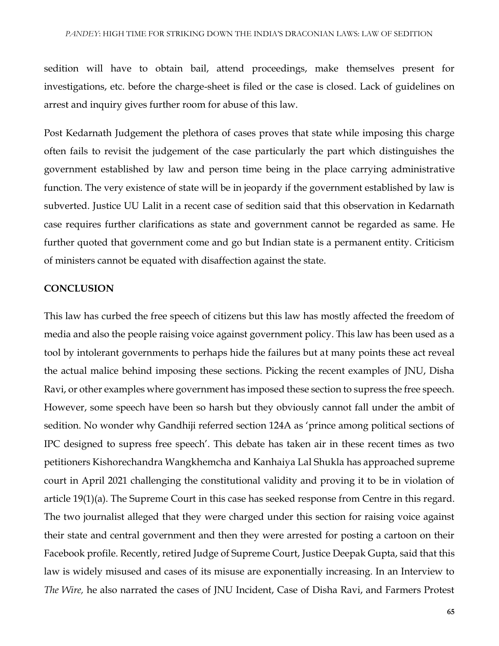sedition will have to obtain bail, attend proceedings, make themselves present for investigations, etc. before the charge-sheet is filed or the case is closed. Lack of guidelines on arrest and inquiry gives further room for abuse of this law.

Post Kedarnath Judgement the plethora of cases proves that state while imposing this charge often fails to revisit the judgement of the case particularly the part which distinguishes the government established by law and person time being in the place carrying administrative function. The very existence of state will be in jeopardy if the government established by law is subverted. Justice UU Lalit in a recent case of sedition said that this observation in Kedarnath case requires further clarifications as state and government cannot be regarded as same. He further quoted that government come and go but Indian state is a permanent entity. Criticism of ministers cannot be equated with disaffection against the state.

#### **CONCLUSION**

This law has curbed the free speech of citizens but this law has mostly affected the freedom of media and also the people raising voice against government policy. This law has been used as a tool by intolerant governments to perhaps hide the failures but at many points these act reveal the actual malice behind imposing these sections. Picking the recent examples of JNU, Disha Ravi, or other examples where government has imposed these section to supress the free speech. However, some speech have been so harsh but they obviously cannot fall under the ambit of sedition. No wonder why Gandhiji referred section 124A as 'prince among political sections of IPC designed to supress free speech'. This debate has taken air in these recent times as two petitioners Kishorechandra Wangkhemcha and Kanhaiya Lal Shukla has approached supreme court in April 2021 challenging the constitutional validity and proving it to be in violation of article 19(1)(a). The Supreme Court in this case has seeked response from Centre in this regard. The two journalist alleged that they were charged under this section for raising voice against their state and central government and then they were arrested for posting a cartoon on their Facebook profile. Recently, retired Judge of Supreme Court, Justice Deepak Gupta, said that this law is widely misused and cases of its misuse are exponentially increasing. In an Interview to *The Wire,* he also narrated the cases of JNU Incident, Case of Disha Ravi, and Farmers Protest